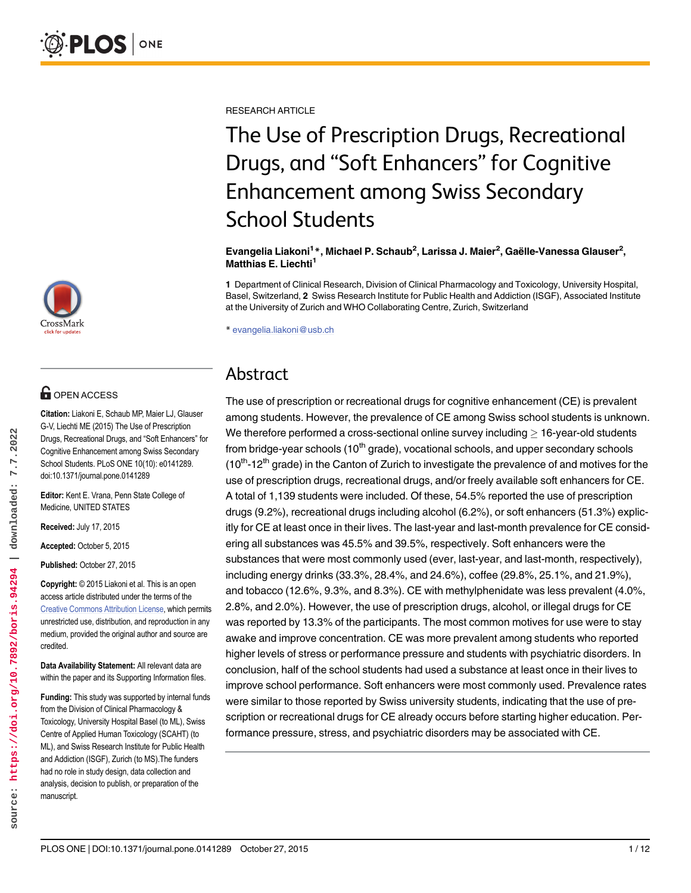RESEARCH ARTICLE

# The Use of Prescription Drugs, Recreational Drugs, and "Soft Enhancers" for Cognitive Enhancement among Swiss Secondary School Students

Evangelia Liakoni<sup>1</sup>\*, Michael P. Schaub<sup>2</sup>, Larissa J. Maier<sup>2</sup>, Gaëlle-Vanessa Glauser<sup>2</sup>, Matthias E. Liechti<sup>1</sup>

1 Department of Clinical Research, Division of Clinical Pharmacology and Toxicology, University Hospital, Basel, Switzerland, 2 Swiss Research Institute for Public Health and Addiction (ISGF), Associated Institute at the University of Zurich and WHO Collaborating Centre, Zurich, Switzerland

\* evangelia.liakoni@usb.ch

## Abstract

The use of prescription or recreational drugs for cognitive enhancement (CE) is prevalent among students. However, the prevalence of CE among Swiss school students is unknown. We therefore performed a cross-sectional online survey including  $\geq$  16-year-old students from bridge-year schools  $(10<sup>th</sup>$  grade), vocational schools, and upper secondary schools  $(10<sup>th</sup> - 12<sup>th</sup>$  grade) in the Canton of Zurich to investigate the prevalence of and motives for the use of prescription drugs, recreational drugs, and/or freely available soft enhancers for CE. A total of 1,139 students were included. Of these, 54.5% reported the use of prescription drugs (9.2%), recreational drugs including alcohol (6.2%), or soft enhancers (51.3%) explicitly for CE at least once in their lives. The last-year and last-month prevalence for CE considering all substances was 45.5% and 39.5%, respectively. Soft enhancers were the substances that were most commonly used (ever, last-year, and last-month, respectively), including energy drinks (33.3%, 28.4%, and 24.6%), coffee (29.8%, 25.1%, and 21.9%), and tobacco (12.6%, 9.3%, and 8.3%). CE with methylphenidate was less prevalent (4.0%, 2.8%, and 2.0%). However, the use of prescription drugs, alcohol, or illegal drugs for CE was reported by 13.3% of the participants. The most common motives for use were to stay awake and improve concentration. CE was more prevalent among students who reported higher levels of stress or performance pressure and students with psychiatric disorders. In conclusion, half of the school students had used a substance at least once in their lives to improve school performance. Soft enhancers were most commonly used. Prevalence rates were similar to those reported by Swiss university students, indicating that the use of prescription or recreational drugs for CE already occurs before starting higher education. Performance pressure, stress, and psychiatric disorders may be associated with CE.



## **OPEN ACCESS**

Citation: Liakoni E, Schaub MP, Maier LJ, Glauser G-V, Liechti ME (2015) The Use of Prescription Drugs, Recreational Drugs, and "Soft Enhancers" for Cognitive Enhancement among Swiss Secondary School Students. PLoS ONE 10(10): e0141289. doi:10.1371/journal.pone.0141289

Editor: Kent E. Vrana, Penn State College of Medicine, UNITED STATES

Received: July 17, 2015

Accepted: October 5, 2015

Published: October 27, 2015

Copyright: © 2015 Liakoni et al. This is an open access article distributed under the terms of the [Creative Commons Attribution License,](http://creativecommons.org/licenses/by/4.0/) which permits unrestricted use, distribution, and reproduction in any medium, provided the original author and source are credited.

Data Availability Statement: All relevant data are within the paper and its Supporting Information files.

Funding: This study was supported by internal funds from the Division of Clinical Pharmacology & Toxicology, University Hospital Basel (to ML), Swiss Centre of Applied Human Toxicology (SCAHT) (to ML), and Swiss Research Institute for Public Health and Addiction (ISGF), Zurich (to MS).The funders had no role in study design, data collection and analysis, decision to publish, or preparation of the manuscript.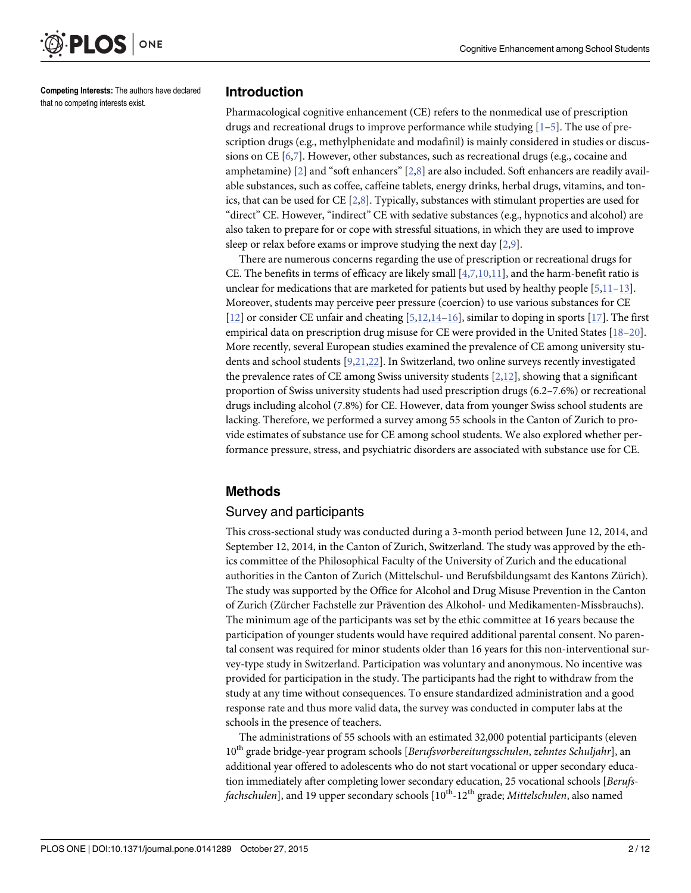

Competing Interests: The authors have declared that no competing interests exist.

### Introduction

Pharmacological cognitive enhancement (CE) refers to the nonmedical use of prescription drugs and recreational drugs to improve performance while studying  $[1-5]$ . The use of prescription drugs (e.g., methylphenidate and modafinil) is mainly considered in studies or discussions on CE [6,7]. However, other substances, such as recreational drugs (e.g., cocaine and amphetamine)  $[2]$  and "soft enhancers"  $[2,8]$  are also included. Soft enhancers are readily available substances, such as coffee, caffeine tablets, energy drinks, herbal drugs, vitamins, and tonics, that can be used for CE [2,8]. Typically, substances with stimulant properties are used for "direct" CE. However, "indirect" CE with sedative substances (e.g., hypnotics and alcohol) are also taken to prepare for or cope with stressful situations, in which they are used to improve sleep or relax before exams or improve studying the next day [2,9].

There are numerous concerns regarding the use of prescription or recreational drugs for CE. The benefits in terms of efficacy are likely small  $[4,7,10,11]$  $[4,7,10,11]$ , and the harm-benefit ratio is unclear for medications that are marketed for patients but used by healthy people  $[5,11-13]$  $[5,11-13]$  $[5,11-13]$  $[5,11-13]$  $[5,11-13]$ . Moreover, students may perceive peer pressure (coercion) to use various substances for CE [12] or consider CE unfair and cheating [5,12,14–16], similar to doping in sports [\[17\]](#page-11-0). The first empirical data on prescription drug misuse for CE were provided in the United States [18–20]. More recently, several European studies examined the prevalence of CE among university students and school students [9,21,22]. In Switzerland, two online surveys recently investigated the prevalence rates of CE among Swiss university students  $[2,12]$ , showing that a significant proportion of Swiss university students had used prescription drugs (6.2–7.6%) or recreational drugs including alcohol (7.8%) for CE. However, data from younger Swiss school students are lacking. Therefore, we performed a survey among 55 schools in the Canton of Zurich to provide estimates of substance use for CE among school students. We also explored whether performance pressure, stress, and psychiatric disorders are associated with substance use for CE.

## Methods

## Survey and participants

This cross-sectional study was conducted during a 3-month period between June 12, 2014, and September 12, 2014, in the Canton of Zurich, Switzerland. The study was approved by the ethics committee of the Philosophical Faculty of the University of Zurich and the educational authorities in the Canton of Zurich (Mittelschul- und Berufsbildungsamt des Kantons Zürich). The study was supported by the Office for Alcohol and Drug Misuse Prevention in the Canton of Zurich (Zürcher Fachstelle zur Prävention des Alkohol- und Medikamenten-Missbrauchs). The minimum age of the participants was set by the ethic committee at 16 years because the participation of younger students would have required additional parental consent. No parental consent was required for minor students older than 16 years for this non-interventional survey-type study in Switzerland. Participation was voluntary and anonymous. No incentive was provided for participation in the study. The participants had the right to withdraw from the study at any time without consequences. To ensure standardized administration and a good response rate and thus more valid data, the survey was conducted in computer labs at the schools in the presence of teachers.

The administrations of 55 schools with an estimated 32,000 potential participants (eleven <sup>10</sup>th grade bridge-year program schools [Berufsvorbereitungsschulen, zehntes Schuljahr], an additional year offered to adolescents who do not start vocational or upper secondary education immediately after completing lower secondary education, 25 vocational schools [Berufsfachschulen], and 19 upper secondary schools  $[10^{th}$ -12<sup>th</sup> grade; Mittelschulen, also named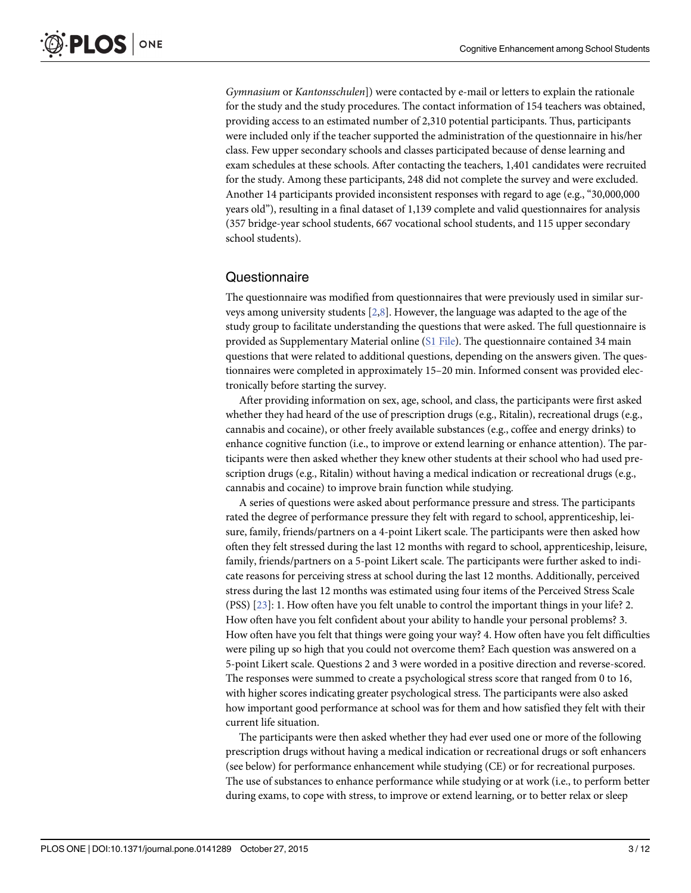Gymnasium or Kantonsschulen]) were contacted by e-mail or letters to explain the rationale for the study and the study procedures. The contact information of 154 teachers was obtained, providing access to an estimated number of 2,310 potential participants. Thus, participants were included only if the teacher supported the administration of the questionnaire in his/her class. Few upper secondary schools and classes participated because of dense learning and exam schedules at these schools. After contacting the teachers, 1,401 candidates were recruited for the study. Among these participants, 248 did not complete the survey and were excluded. Another 14 participants provided inconsistent responses with regard to age (e.g., "30,000,000 years old"), resulting in a final dataset of 1,139 complete and valid questionnaires for analysis (357 bridge-year school students, 667 vocational school students, and 115 upper secondary school students).

## Questionnaire

The questionnaire was modified from questionnaires that were previously used in similar surveys among university students [2,8]. However, the language was adapted to the age of the study group to facilitate understanding the questions that were asked. The full questionnaire is provided as Supplementary Material online  $(S1$  File). The questionnaire contained 34 main questions that were related to additional questions, depending on the answers given. The questionnaires were completed in approximately 15–20 min. Informed consent was provided electronically before starting the survey.

After providing information on sex, age, school, and class, the participants were first asked whether they had heard of the use of prescription drugs (e.g., Ritalin), recreational drugs (e.g., cannabis and cocaine), or other freely available substances (e.g., coffee and energy drinks) to enhance cognitive function (i.e., to improve or extend learning or enhance attention). The participants were then asked whether they knew other students at their school who had used prescription drugs (e.g., Ritalin) without having a medical indication or recreational drugs (e.g., cannabis and cocaine) to improve brain function while studying.

A series of questions were asked about performance pressure and stress. The participants rated the degree of performance pressure they felt with regard to school, apprenticeship, leisure, family, friends/partners on a 4-point Likert scale. The participants were then asked how often they felt stressed during the last 12 months with regard to school, apprenticeship, leisure, family, friends/partners on a 5-point Likert scale. The participants were further asked to indicate reasons for perceiving stress at school during the last 12 months. Additionally, perceived stress during the last 12 months was estimated using four items of the Perceived Stress Scale (PSS) [23]: 1. How often have you felt unable to control the important things in your life? 2. How often have you felt confident about your ability to handle your personal problems? 3. How often have you felt that things were going your way? 4. How often have you felt difficulties were piling up so high that you could not overcome them? Each question was answered on a 5-point Likert scale. Questions 2 and 3 were worded in a positive direction and reverse-scored. The responses were summed to create a psychological stress score that ranged from 0 to 16, with higher scores indicating greater psychological stress. The participants were also asked how important good performance at school was for them and how satisfied they felt with their current life situation.

The participants were then asked whether they had ever used one or more of the following prescription drugs without having a medical indication or recreational drugs or soft enhancers (see below) for performance enhancement while studying (CE) or for recreational purposes. The use of substances to enhance performance while studying or at work (i.e., to perform better during exams, to cope with stress, to improve or extend learning, or to better relax or sleep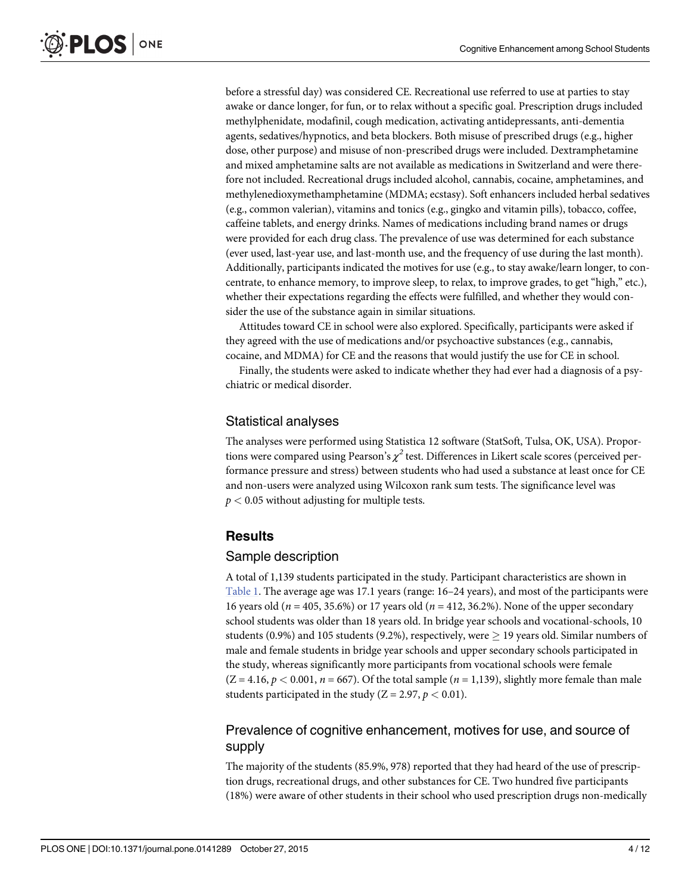before a stressful day) was considered CE. Recreational use referred to use at parties to stay awake or dance longer, for fun, or to relax without a specific goal. Prescription drugs included methylphenidate, modafinil, cough medication, activating antidepressants, anti-dementia agents, sedatives/hypnotics, and beta blockers. Both misuse of prescribed drugs (e.g., higher dose, other purpose) and misuse of non-prescribed drugs were included. Dextramphetamine and mixed amphetamine salts are not available as medications in Switzerland and were therefore not included. Recreational drugs included alcohol, cannabis, cocaine, amphetamines, and methylenedioxymethamphetamine (MDMA; ecstasy). Soft enhancers included herbal sedatives (e.g., common valerian), vitamins and tonics (e.g., gingko and vitamin pills), tobacco, coffee, caffeine tablets, and energy drinks. Names of medications including brand names or drugs were provided for each drug class. The prevalence of use was determined for each substance (ever used, last-year use, and last-month use, and the frequency of use during the last month). Additionally, participants indicated the motives for use (e.g., to stay awake/learn longer, to concentrate, to enhance memory, to improve sleep, to relax, to improve grades, to get "high," etc.), whether their expectations regarding the effects were fulfilled, and whether they would consider the use of the substance again in similar situations.

Attitudes toward CE in school were also explored. Specifically, participants were asked if they agreed with the use of medications and/or psychoactive substances (e.g., cannabis, cocaine, and MDMA) for CE and the reasons that would justify the use for CE in school.

Finally, the students were asked to indicate whether they had ever had a diagnosis of a psychiatric or medical disorder.

## Statistical analyses

The analyses were performed using Statistica 12 software (StatSoft, Tulsa, OK, USA). Proportions were compared using Pearson's  $\chi^2$  test. Differences in Likert scale scores (perceived performance pressure and stress) between students who had used a substance at least once for CE and non-users were analyzed using Wilcoxon rank sum tests. The significance level was  $p < 0.05$  without adjusting for multiple tests.

## Results

## Sample description

A total of 1,139 students participated in the study. Participant characteristics are shown in Table 1. The average age was 17.1 years (range: 16–24 years), and most of the participants were 16 years old ( $n = 405, 35.6\%$ ) or 17 years old ( $n = 412, 36.2\%$ ). None of the upper secondary school students was older than 18 years old. In bridge year schools and vocational-schools, 10 students (0.9%) and 105 students (9.2%), respectively, were  $\geq$  19 years old. Similar numbers of male and female students in bridge year schools and upper secondary schools participated in the study, whereas significantly more participants from vocational schools were female  $(Z = 4.16, p < 0.001, n = 667)$ . Of the total sample  $(n = 1,139)$ , slightly more female than male students participated in the study ( $Z = 2.97$ ,  $p < 0.01$ ).

## Prevalence of cognitive enhancement, motives for use, and source of supply

The majority of the students (85.9%, 978) reported that they had heard of the use of prescription drugs, recreational drugs, and other substances for CE. Two hundred five participants (18%) were aware of other students in their school who used prescription drugs non-medically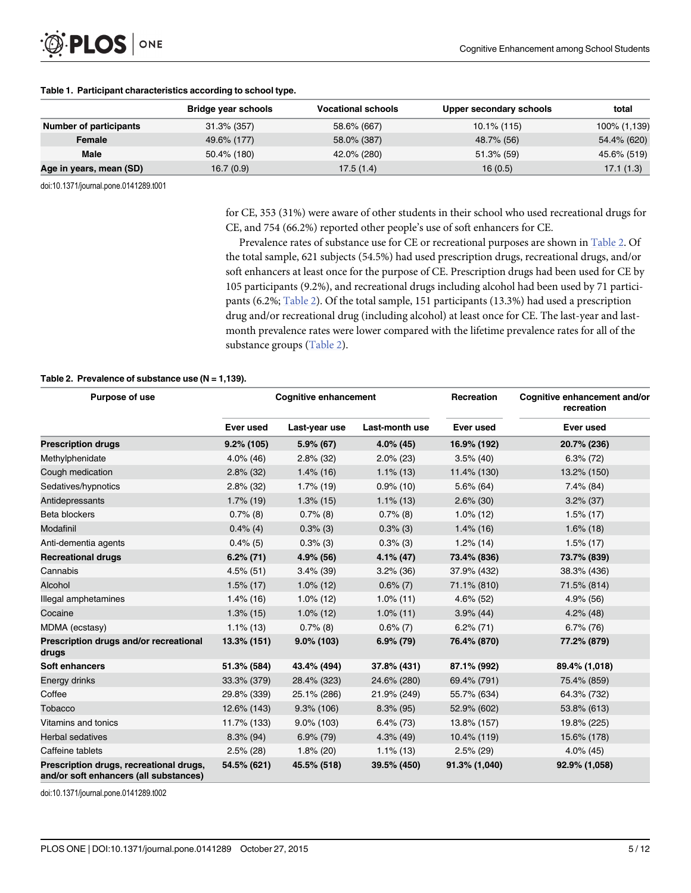

|                               | <b>Bridge year schools</b> | <b>Vocational schools</b> | Upper secondary schools | total        |
|-------------------------------|----------------------------|---------------------------|-------------------------|--------------|
| <b>Number of participants</b> | $31.3\%$ (357)             | 58.6% (667)               | $10.1\%$ (115)          | 100% (1,139) |
| Female                        | 49.6% (177)                | 58.0% (387)               | 48.7% (56)              | 54.4% (620)  |
| <b>Male</b>                   | 50.4% (180)                | 42.0% (280)               | $51.3\%$ (59)           | 45.6% (519)  |
| Age in years, mean (SD)       | 16.7(0.9)                  | 17.5(1.4)                 | 16(0.5)                 | 17.1(1.3)    |

doi:10.1371/journal.pone.0141289.t001

for CE, 353 (31%) were aware of other students in their school who used recreational drugs for CE, and 754 (66.2%) reported other people's use of soft enhancers for CE.

Prevalence rates of substance use for CE or recreational purposes are shown in Table 2. Of the total sample, 621 subjects (54.5%) had used prescription drugs, recreational drugs, and/or soft enhancers at least once for the purpose of CE. Prescription drugs had been used for CE by 105 participants (9.2%), and recreational drugs including alcohol had been used by 71 participants (6.2%; Table 2). Of the total sample, 151 participants (13.3%) had used a prescription drug and/or recreational drug (including alcohol) at least once for CE. The last-year and lastmonth prevalence rates were lower compared with the lifetime prevalence rates for all of the substance groups (Table 2).

#### Table 2. Prevalence of substance use  $(N = 1,139)$ .

| Purpose of use                                                                    |               | <b>Cognitive enhancement</b> |                | Recreation    | Cognitive enhancement and/or<br>recreation |
|-----------------------------------------------------------------------------------|---------------|------------------------------|----------------|---------------|--------------------------------------------|
|                                                                                   | Ever used     | Last-year use                | Last-month use | Ever used     | Ever used                                  |
| <b>Prescription drugs</b>                                                         | $9.2\%$ (105) | $5.9\%$ (67)                 | $4.0\%$ (45)   | 16.9% (192)   | 20.7% (236)                                |
| Methylphenidate                                                                   | $4.0\%$ (46)  | $2.8\%$ (32)                 | $2.0\%$ (23)   | $3.5\%$ (40)  | $6.3\%$ (72)                               |
| Cough medication                                                                  | $2.8\%$ (32)  | $1.4\%$ (16)                 | $1.1\%$ (13)   | 11.4% (130)   | 13.2% (150)                                |
| Sedatives/hypnotics                                                               | $2.8\%$ (32)  | $1.7\%$ (19)                 | $0.9\%$ (10)   | $5.6\%$ (64)  | $7.4\%$ (84)                               |
| Antidepressants                                                                   | $1.7\%$ (19)  | $1.3\%$ (15)                 | $1.1\%$ (13)   | $2.6\%$ (30)  | $3.2\%$ (37)                               |
| <b>Beta blockers</b>                                                              | $0.7\%$ (8)   | $0.7\%$ (8)                  | $0.7\%$ (8)    | $1.0\%$ (12)  | $1.5\%$ (17)                               |
| Modafinil                                                                         | $0.4\%$ (4)   | $0.3\%$ (3)                  | $0.3\%$ (3)    | $1.4\%$ (16)  | $1.6\%$ (18)                               |
| Anti-dementia agents                                                              | $0.4\%$ (5)   | $0.3\%$ (3)                  | $0.3\%$ (3)    | $1.2\%$ (14)  | $1.5\%$ (17)                               |
| <b>Recreational drugs</b>                                                         | $6.2\%$ (71)  | $4.9\%$ (56)                 | $4.1\%$ (47)   | 73.4% (836)   | 73.7% (839)                                |
| Cannabis                                                                          | $4.5\%$ (51)  | $3.4\%$ (39)                 | $3.2\%$ (36)   | 37.9% (432)   | 38.3% (436)                                |
| Alcohol                                                                           | $1.5\%$ (17)  | $1.0\%$ (12)                 | $0.6\%$ (7)    | 71.1% (810)   | 71.5% (814)                                |
| Illegal amphetamines                                                              | $1.4\%$ (16)  | $1.0\%$ (12)                 | $1.0\%$ (11)   | $4.6\%$ (52)  | 4.9% (56)                                  |
| Cocaine                                                                           | $1.3\%$ (15)  | $1.0\%$ (12)                 | $1.0\%$ (11)   | $3.9\%$ (44)  | $4.2\%$ (48)                               |
| MDMA (ecstasy)                                                                    | $1.1\%$ (13)  | $0.7\%$ (8)                  | $0.6\%$ (7)    | $6.2\% (71)$  | $6.7\%$ (76)                               |
| Prescription drugs and/or recreational<br>drugs                                   | 13.3% (151)   | $9.0\%$ (103)                | $6.9\%$ (79)   | 76.4% (870)   | 77.2% (879)                                |
| Soft enhancers                                                                    | 51.3% (584)   | 43.4% (494)                  | 37.8% (431)    | 87.1% (992)   | 89.4% (1,018)                              |
| Energy drinks                                                                     | 33.3% (379)   | 28.4% (323)                  | 24.6% (280)    | 69.4% (791)   | 75.4% (859)                                |
| Coffee                                                                            | 29.8% (339)   | 25.1% (286)                  | 21.9% (249)    | 55.7% (634)   | 64.3% (732)                                |
| Tobacco                                                                           | 12.6% (143)   | $9.3\%$ (106)                | $8.3\%$ (95)   | 52.9% (602)   | 53.8% (613)                                |
| Vitamins and tonics                                                               | 11.7% (133)   | $9.0\%$ (103)                | $6.4\%$ (73)   | 13.8% (157)   | 19.8% (225)                                |
| <b>Herbal sedatives</b>                                                           | $8.3\%$ (94)  | $6.9\%$ (79)                 | $4.3\%$ (49)   | 10.4% (119)   | 15.6% (178)                                |
| Caffeine tablets                                                                  | $2.5\%$ (28)  | $1.8\%$ (20)                 | $1.1\%$ (13)   | $2.5\%$ (29)  | $4.0\%$ (45)                               |
| Prescription drugs, recreational drugs,<br>and/or soft enhancers (all substances) | 54.5% (621)   | 45.5% (518)                  | 39.5% (450)    | 91.3% (1,040) | 92.9% (1,058)                              |

doi:10.1371/journal.pone.0141289.t002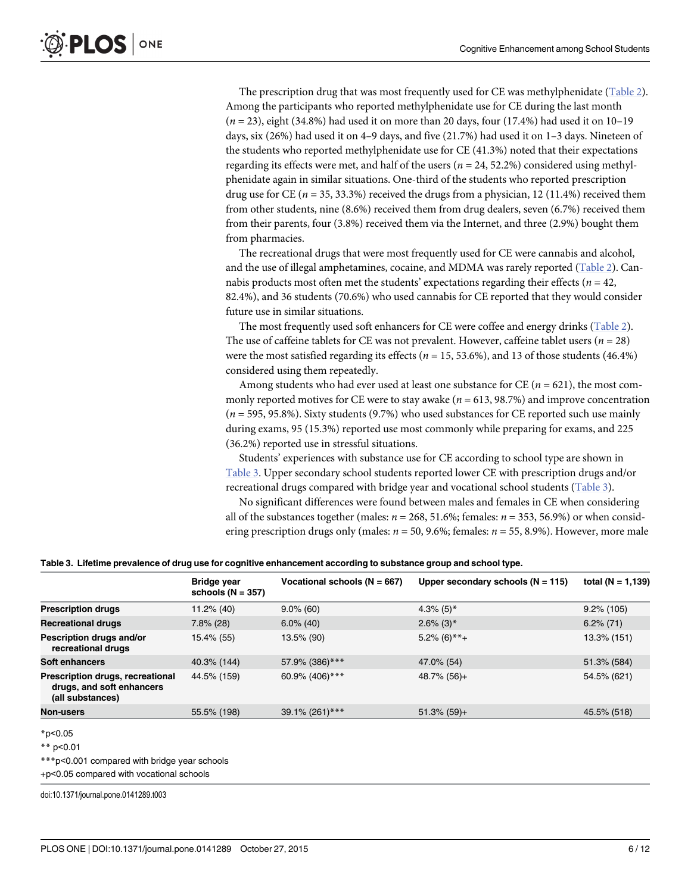The prescription drug that was most frequently used for CE was methylphenidate (Table 2). Among the participants who reported methylphenidate use for CE during the last month  $(n = 23)$ , eight (34.8%) had used it on more than 20 days, four (17.4%) had used it on 10–19 days, six (26%) had used it on 4–9 days, and five (21.7%) had used it on 1–3 days. Nineteen of the students who reported methylphenidate use for CE (41.3%) noted that their expectations regarding its effects were met, and half of the users ( $n = 24, 52.2\%$ ) considered using methylphenidate again in similar situations. One-third of the students who reported prescription drug use for CE ( $n = 35, 33.3\%$ ) received the drugs from a physician, 12 (11.4%) received them from other students, nine (8.6%) received them from drug dealers, seven (6.7%) received them from their parents, four (3.8%) received them via the Internet, and three (2.9%) bought them from pharmacies.

The recreational drugs that were most frequently used for CE were cannabis and alcohol, and the use of illegal amphetamines, cocaine, and MDMA was rarely reported (Table 2). Cannabis products most often met the students' expectations regarding their effects ( $n = 42$ , 82.4%), and 36 students (70.6%) who used cannabis for CE reported that they would consider future use in similar situations.

The most frequently used soft enhancers for CE were coffee and energy drinks (Table 2). The use of caffeine tablets for CE was not prevalent. However, caffeine tablet users ( $n = 28$ ) were the most satisfied regarding its effects ( $n = 15, 53.6\%$ ), and 13 of those students (46.4%) considered using them repeatedly.

Among students who had ever used at least one substance for CE ( $n = 621$ ), the most commonly reported motives for CE were to stay awake ( $n = 613, 98.7\%$ ) and improve concentration  $(n = 595, 95.8\%)$ . Sixty students  $(9.7\%)$  who used substances for CE reported such use mainly during exams, 95 (15.3%) reported use most commonly while preparing for exams, and 225 (36.2%) reported use in stressful situations.

Students' experiences with substance use for CE according to school type are shown in Table 3. Upper secondary school students reported lower CE with prescription drugs and/or recreational drugs compared with bridge year and vocational school students (Table 3).

No significant differences were found between males and females in CE when considering all of the substances together (males:  $n = 268, 51.6\%$ ; females:  $n = 353, 56.9\%$ ) or when considering prescription drugs only (males:  $n = 50$ , 9.6%; females:  $n = 55$ , 8.9%). However, more male

|                                                                                   | <b>Bridge year</b><br>schools ( $N = 357$ ) | Vocational schools $(N = 667)$ | Upper secondary schools $(N = 115)$ | total ( $N = 1,139$ ) |
|-----------------------------------------------------------------------------------|---------------------------------------------|--------------------------------|-------------------------------------|-----------------------|
| <b>Prescription drugs</b>                                                         | 11.2% (40)                                  | $9.0\%$ (60)                   | $4.3\%$ (5) <sup>*</sup>            | $9.2\%$ (105)         |
| <b>Recreational drugs</b>                                                         | $7.8\%$ (28)                                | $6.0\%$ (40)                   | $2.6\%$ (3) <sup>*</sup>            | $6.2\%$ (71)          |
| Pescription drugs and/or<br>recreational drugs                                    | 15.4% (55)                                  | 13.5% (90)                     | $5.2\%$ (6)**+                      | 13.3% (151)           |
| Soft enhancers                                                                    | 40.3% (144)                                 | 57.9% (386)***                 | 47.0% (54)                          | 51.3% (584)           |
| Prescription drugs, recreational<br>drugs, and soft enhancers<br>(all substances) | 44.5% (159)                                 | 60.9% (406)***                 | $48.7\%$ (56)+                      | 54.5% (621)           |
| Non-users                                                                         | 55.5% (198)                                 | 39.1% (261)***                 | $51.3\%$ (59)+                      | 45.5% (518)           |

\*p<0.05

\*\* p<0.01

\*\*\*p<0.001 compared with bridge year schools

+p<0.05 compared with vocational schools

doi:10.1371/journal.pone.0141289.t003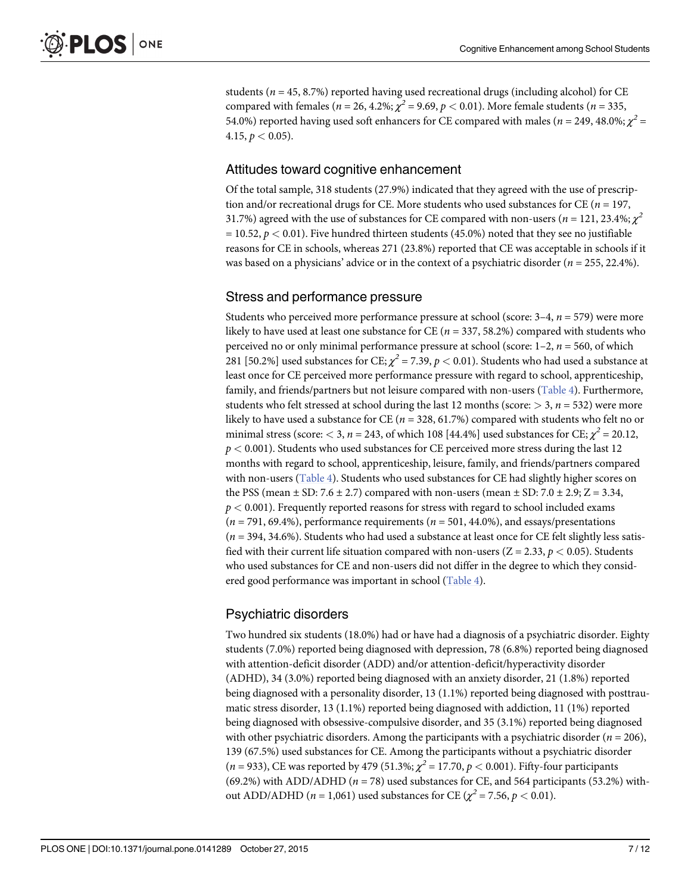students ( $n = 45, 8.7\%$ ) reported having used recreational drugs (including alcohol) for CE compared with females ( $n = 26, 4.2\%$ ;  $\chi^2 = 9.69$ ,  $p < 0.01$ ). More female students ( $n = 335$ , 54.0%) reported having used soft enhancers for CE compared with males ( $n = 249, 48.0\%$ ;  $\chi^2 =$ 4.15,  $p < 0.05$ ).

## Attitudes toward cognitive enhancement

Of the total sample, 318 students (27.9%) indicated that they agreed with the use of prescription and/or recreational drugs for CE. More students who used substances for CE ( $n = 197$ , 31.7%) agreed with the use of substances for CE compared with non-users ( $n = 121, 23.4\%$ ;  $\chi^2$  $= 10.52, p < 0.01$ ). Five hundred thirteen students (45.0%) noted that they see no justifiable reasons for CE in schools, whereas 271 (23.8%) reported that CE was acceptable in schools if it was based on a physicians' advice or in the context of a psychiatric disorder ( $n = 255, 22.4\%$ ).

## Stress and performance pressure

Students who perceived more performance pressure at school (score:  $3-4$ ,  $n = 579$ ) were more likely to have used at least one substance for CE ( $n = 337, 58.2\%$ ) compared with students who perceived no or only minimal performance pressure at school (score:  $1-2$ ,  $n = 560$ , of which 281 [50.2%] used substances for CE;  $\chi^2$  = 7.39,  $p$  < 0.01). Students who had used a substance at least once for CE perceived more performance pressure with regard to school, apprenticeship, family, and friends/partners but not leisure compared with non-users (Table 4). Furthermore, students who felt stressed at school during the last 12 months (score:  $> 3$ ,  $n = 532$ ) were more likely to have used a substance for CE ( $n = 328, 61.7\%$ ) compared with students who felt no or minimal stress (score:  $<$  3, n = 243, of which 108 [44.4%] used substances for CE;  $\chi^2$  = 20.12,  $p < 0.001$ ). Students who used substances for CE perceived more stress during the last 12 months with regard to school, apprenticeship, leisure, family, and friends/partners compared with non-users (Table 4). Students who used substances for CE had slightly higher scores on the PSS (mean  $\pm$  SD: 7.6  $\pm$  2.7) compared with non-users (mean  $\pm$  SD: 7.0  $\pm$  2.9; Z = 3.34,  $p < 0.001$ ). Frequently reported reasons for stress with regard to school included exams  $(n = 791, 69.4\%)$ , performance requirements  $(n = 501, 44.0\%)$ , and essays/presentations  $(n = 394, 34.6%)$ . Students who had used a substance at least once for CE felt slightly less satisfied with their current life situation compared with non-users ( $Z = 2.33$ ,  $p < 0.05$ ). Students who used substances for CE and non-users did not differ in the degree to which they considered good performance was important in school (Table 4).

## Psychiatric disorders

Two hundred six students (18.0%) had or have had a diagnosis of a psychiatric disorder. Eighty students (7.0%) reported being diagnosed with depression, 78 (6.8%) reported being diagnosed with attention-deficit disorder (ADD) and/or attention-deficit/hyperactivity disorder (ADHD), 34 (3.0%) reported being diagnosed with an anxiety disorder, 21 (1.8%) reported being diagnosed with a personality disorder, 13 (1.1%) reported being diagnosed with posttraumatic stress disorder, 13 (1.1%) reported being diagnosed with addiction, 11 (1%) reported being diagnosed with obsessive-compulsive disorder, and 35 (3.1%) reported being diagnosed with other psychiatric disorders. Among the participants with a psychiatric disorder ( $n = 206$ ), 139 (67.5%) used substances for CE. Among the participants without a psychiatric disorder  $(n = 933)$ , CE was reported by 479 (51.3%;  $\chi^2 = 17.70$ ,  $p < 0.001$ ). Fifty-four participants (69.2%) with ADD/ADHD ( $n = 78$ ) used substances for CE, and 564 participants (53.2%) without ADD/ADHD ( $n = 1,061$ ) used substances for CE ( $\chi^2 = 7.56$ ,  $p < 0.01$ ).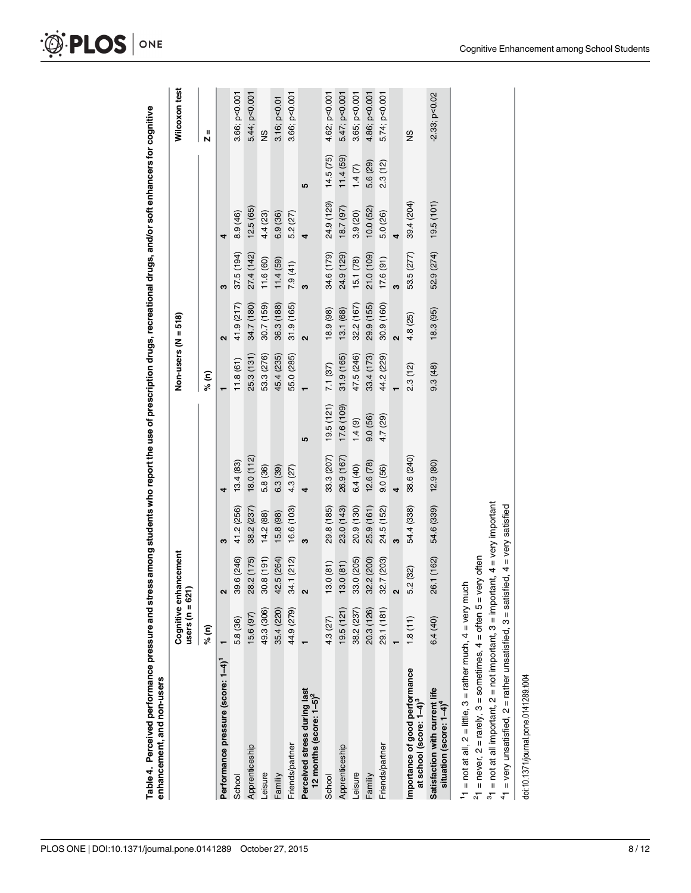|                                                                                                                                                                                                                      | users ( $n = 621$ ) | Cognitive enhancement |            |            |            | Non-users ( $N = 518$ ) |                   |            |            |           | Wilcoxon test    |
|----------------------------------------------------------------------------------------------------------------------------------------------------------------------------------------------------------------------|---------------------|-----------------------|------------|------------|------------|-------------------------|-------------------|------------|------------|-----------|------------------|
|                                                                                                                                                                                                                      | % (n)               |                       |            |            |            | % (n)                   |                   |            |            |           | Ш<br>N           |
| Performance pressure (score: 1-4)                                                                                                                                                                                    |                     | 2                     | S          | 4          |            |                         | $\mathbf{\Omega}$ | S          | 4          |           |                  |
| School                                                                                                                                                                                                               | 5.8 (36)            | 39.6 (246)            | 41.2 (256) | 13.4(83)   |            | 11.8(61)                | 41.9 (217)        | 37.5 (194) | 8.9 (46)   |           | 3.66; p<0.001    |
| Apprenticeship                                                                                                                                                                                                       | 15.6 (97)           | 28.2 (175)            | 38.2 (237) | 18.0(112)  |            | 25.3 (131)              | 34.7 (180)        | 27.4 (142) | 12.5(65)   |           | 5.44; p<0.001    |
| Leisure                                                                                                                                                                                                              | 49.3 (306)          | 30.8(191)             | 14.2(88)   | 5.8 (36)   |            | 53.3 (276)              | 30.7 (159)        | 11.6 (60)  | 4.4 (23)   |           | $\frac{9}{2}$    |
| Familiy                                                                                                                                                                                                              | 35.4 (220)          | 42.5 (264)            | 15.8 (98)  | 6.3(39)    |            | 45.4 (235)              | 36.3 (188)        | 11.4(59)   | 6.9(36)    |           | 3.16; p<0.01     |
| Friends/partner                                                                                                                                                                                                      | 44.9 (279)          | 34.1 (212)            | 16.6 (103) | 4.3 (27)   |            | 55.0 (285)              | 31.9 (165)        | 7.9(41)    | 5.2 (27)   |           | 3.66; p<0.001    |
| Perceived stress during last<br>12 months (score: $1-5$ ) <sup>2</sup>                                                                                                                                               |                     | 2                     | 3          | 4          | <b>SC</b>  |                         | $\mathbf{\Omega}$ | ຕ          | 4          | <b>SC</b> |                  |
| School                                                                                                                                                                                                               | 4.3 (27)            | 13.0(81)              | 29.8 (185) | 33.3 (207) | 19.5(121)  | 7.1 (37)                | 18.9 (98)         | 34.6 (179) | 24.9 (129) | 14.5(75)  | 4.62; p<0.001    |
| Apprenticeship                                                                                                                                                                                                       | 19.5(121)           | 13.0(81)              | 23.0 (143) | 26.9 (167) | 17.6 (109) | 31.9(165)               | 13.1 (68)         | 24.9 (129) | 18.7 (97)  | 11.4(59)  | 5.47; p<0.001    |
| <b>eisure</b>                                                                                                                                                                                                        | 38.2 (237)          | 33.0 (205)            | 20.9 (130) | 6.4(40)    | 1.4(9)     | 47.5 (246)              | 32.2 (167)        | 15.1 (78)  | 3.9 (20)   | 1.4(7)    | 3.65; p<0.001    |
| Familiy                                                                                                                                                                                                              | 20.3 (126)          | 32.2 (200)            | 25.9 (161) | 12.6(78)   | 9.0(56)    | 33.4 (173)              | 29.9 (155)        | 21.0 (109) | 10.0(52)   | 5.6 (29)  | 4.86; p<0.001    |
| Friends/partner                                                                                                                                                                                                      | 29.1 (181)          | 32.7 (203)            | 24.5 (152) | 9.0(56)    | 4.7 (29)   | 44.2 (229)              | 30.9 (160)        | 17.6(91)   | 5.0 (26)   | 2.3(12)   | 5.74; p<0.001    |
|                                                                                                                                                                                                                      |                     | $\mathbf{\Omega}$     | က          | 4          |            |                         | ี่                | ო          | 4          |           |                  |
| Importance of good performance<br>at school (score: 1-4) <sup>3</sup>                                                                                                                                                | 1.8(11)             | 5.2(32)               | 54.4 (338) | 38.6 (240) |            | 2.3(12)                 | 4.8 (25)          | 53.5 (277) | 39.4 (204) |           | 9S               |
| Satisfaction with current life<br>situation (score: $1-4$ ) <sup>4</sup>                                                                                                                                             | 6.4(40)             | 26.1 (162)            | 54.6 (339) | 12.9(80)   |            | 9.3(48)                 | 18.3(95)          | 52.9 (274) | 19.5(101)  |           | $-2.33$ ; p<0.02 |
| $31$ = not at all important, 2 = not important, 3 = important, 4 = very important<br>11 = not at all, $2 =$ little, $3 =$ rather much, $4 =$ very much<br>$^{2}$ 1 = never, 2 = rarely, 3 = sometimes, 4 = often 5 = |                     | very often            |            |            |            |                         |                   |            |            |           |                  |

 $41$  = very unsatisfied,  $2$  = rather unsatisfied,  $3$  = satisfied,  $4$  = very satisfied

 $41$  = very unsatisfied, 2 = rather unsatisfied, 3 = satisfied, 4 = very satisfied

doi:10.1371/journal.pone.0141289.t004

doi:10.1371/journal.pone.0141289.t004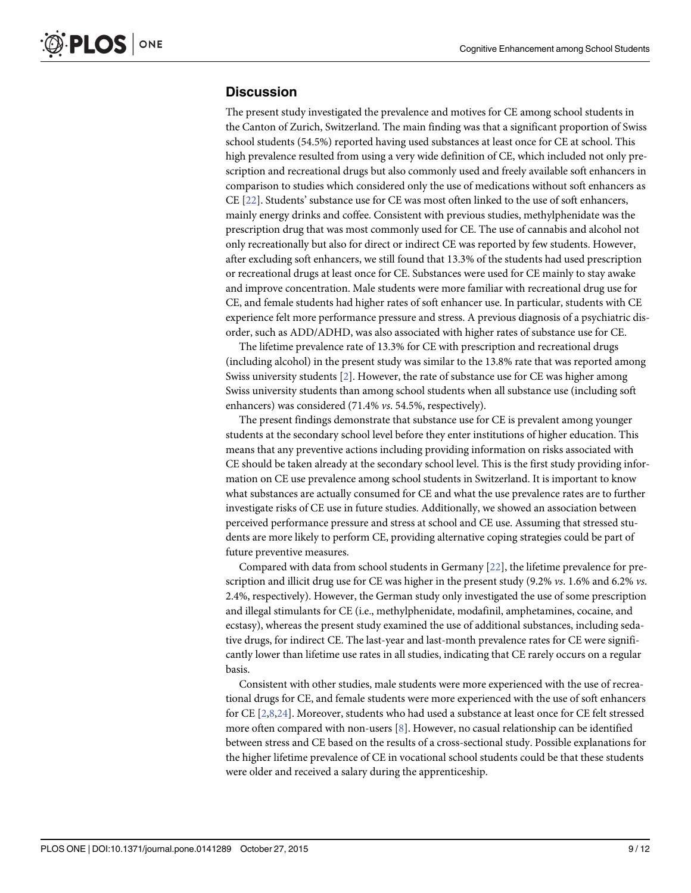## **Discussion**

The present study investigated the prevalence and motives for CE among school students in the Canton of Zurich, Switzerland. The main finding was that a significant proportion of Swiss school students (54.5%) reported having used substances at least once for CE at school. This high prevalence resulted from using a very wide definition of CE, which included not only prescription and recreational drugs but also commonly used and freely available soft enhancers in comparison to studies which considered only the use of medications without soft enhancers as CE [22]. Students' substance use for CE was most often linked to the use of soft enhancers, mainly energy drinks and coffee. Consistent with previous studies, methylphenidate was the prescription drug that was most commonly used for CE. The use of cannabis and alcohol not only recreationally but also for direct or indirect CE was reported by few students. However, after excluding soft enhancers, we still found that 13.3% of the students had used prescription or recreational drugs at least once for CE. Substances were used for CE mainly to stay awake and improve concentration. Male students were more familiar with recreational drug use for CE, and female students had higher rates of soft enhancer use. In particular, students with CE experience felt more performance pressure and stress. A previous diagnosis of a psychiatric disorder, such as ADD/ADHD, was also associated with higher rates of substance use for CE.

The lifetime prevalence rate of 13.3% for CE with prescription and recreational drugs (including alcohol) in the present study was similar to the 13.8% rate that was reported among Swiss university students [2]. However, the rate of substance use for CE was higher among Swiss university students than among school students when all substance use (including soft enhancers) was considered (71.4% vs. 54.5%, respectively).

The present findings demonstrate that substance use for CE is prevalent among younger students at the secondary school level before they enter institutions of higher education. This means that any preventive actions including providing information on risks associated with CE should be taken already at the secondary school level. This is the first study providing information on CE use prevalence among school students in Switzerland. It is important to know what substances are actually consumed for CE and what the use prevalence rates are to further investigate risks of CE use in future studies. Additionally, we showed an association between perceived performance pressure and stress at school and CE use. Assuming that stressed students are more likely to perform CE, providing alternative coping strategies could be part of future preventive measures.

Compared with data from school students in Germany  $[22]$ , the lifetime prevalence for prescription and illicit drug use for CE was higher in the present study (9.2% vs. 1.6% and 6.2% vs. 2.4%, respectively). However, the German study only investigated the use of some prescription and illegal stimulants for CE (i.e., methylphenidate, modafinil, amphetamines, cocaine, and ecstasy), whereas the present study examined the use of additional substances, including sedative drugs, for indirect CE. The last-year and last-month prevalence rates for CE were significantly lower than lifetime use rates in all studies, indicating that CE rarely occurs on a regular basis.

Consistent with other studies, male students were more experienced with the use of recreational drugs for CE, and female students were more experienced with the use of soft enhancers for CE [2,8,24]. Moreover, students who had used a substance at least once for CE felt stressed more often compared with non-users [8]. However, no casual relationship can be identified between stress and CE based on the results of a cross-sectional study. Possible explanations for the higher lifetime prevalence of CE in vocational school students could be that these students were older and received a salary during the apprenticeship.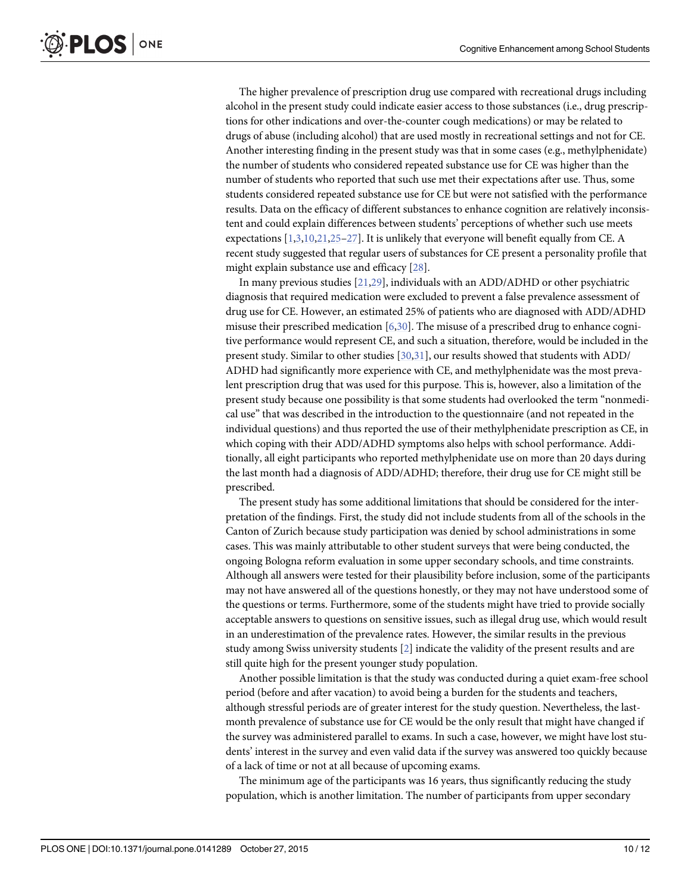The higher prevalence of prescription drug use compared with recreational drugs including alcohol in the present study could indicate easier access to those substances (i.e., drug prescriptions for other indications and over-the-counter cough medications) or may be related to drugs of abuse (including alcohol) that are used mostly in recreational settings and not for CE. Another interesting finding in the present study was that in some cases (e.g., methylphenidate) the number of students who considered repeated substance use for CE was higher than the number of students who reported that such use met their expectations after use. Thus, some students considered repeated substance use for CE but were not satisfied with the performance results. Data on the efficacy of different substances to enhance cognition are relatively inconsistent and could explain differences between students' perceptions of whether such use meets expectations  $[1,3,10,21,25-27]$ . It is unlikely that everyone will benefit equally from CE. A recent study suggested that regular users of substances for CE present a personality profile that might explain substance use and efficacy [28].

In many previous studies [21,29], individuals with an ADD/ADHD or other psychiatric diagnosis that required medication were excluded to prevent a false prevalence assessment of drug use for CE. However, an estimated 25% of patients who are diagnosed with ADD/ADHD misuse their prescribed medication [6,30]. The misuse of a prescribed drug to enhance cognitive performance would represent CE, and such a situation, therefore, would be included in the present study. Similar to other studies [30,31], our results showed that students with ADD/ ADHD had significantly more experience with CE, and methylphenidate was the most prevalent prescription drug that was used for this purpose. This is, however, also a limitation of the present study because one possibility is that some students had overlooked the term "nonmedical use" that was described in the introduction to the questionnaire (and not repeated in the individual questions) and thus reported the use of their methylphenidate prescription as CE, in which coping with their ADD/ADHD symptoms also helps with school performance. Additionally, all eight participants who reported methylphenidate use on more than 20 days during the last month had a diagnosis of ADD/ADHD; therefore, their drug use for CE might still be prescribed.

The present study has some additional limitations that should be considered for the interpretation of the findings. First, the study did not include students from all of the schools in the Canton of Zurich because study participation was denied by school administrations in some cases. This was mainly attributable to other student surveys that were being conducted, the ongoing Bologna reform evaluation in some upper secondary schools, and time constraints. Although all answers were tested for their plausibility before inclusion, some of the participants may not have answered all of the questions honestly, or they may not have understood some of the questions or terms. Furthermore, some of the students might have tried to provide socially acceptable answers to questions on sensitive issues, such as illegal drug use, which would result in an underestimation of the prevalence rates. However, the similar results in the previous study among Swiss university students [2] indicate the validity of the present results and are still quite high for the present younger study population.

Another possible limitation is that the study was conducted during a quiet exam-free school period (before and after vacation) to avoid being a burden for the students and teachers, although stressful periods are of greater interest for the study question. Nevertheless, the lastmonth prevalence of substance use for CE would be the only result that might have changed if the survey was administered parallel to exams. In such a case, however, we might have lost students' interest in the survey and even valid data if the survey was answered too quickly because of a lack of time or not at all because of upcoming exams.

The minimum age of the participants was 16 years, thus significantly reducing the study population, which is another limitation. The number of participants from upper secondary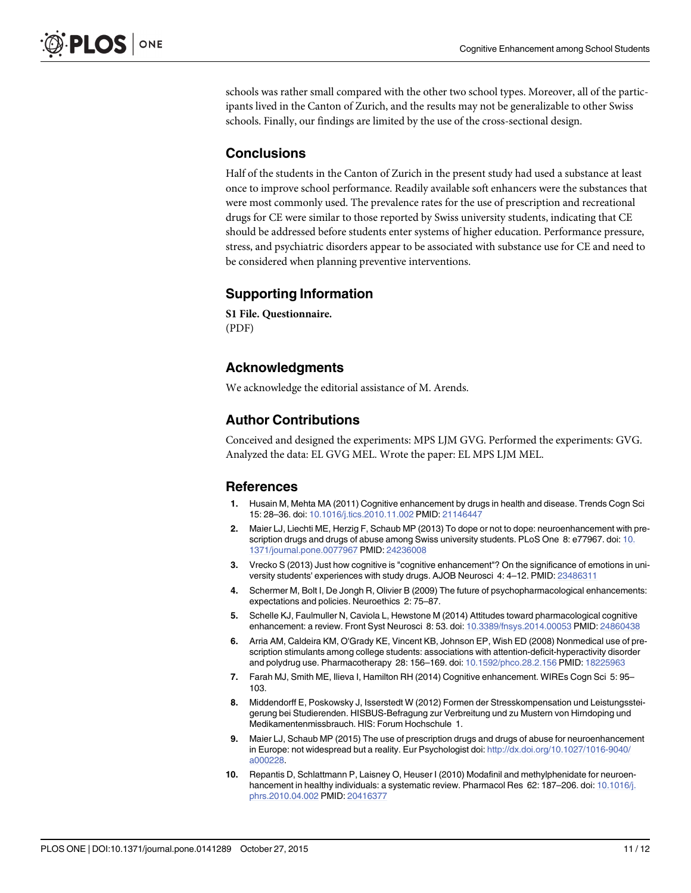schools was rather small compared with the other two school types. Moreover, all of the participants lived in the Canton of Zurich, and the results may not be generalizable to other Swiss schools. Finally, our findings are limited by the use of the cross-sectional design.

## **Conclusions**

Half of the students in the Canton of Zurich in the present study had used a substance at least once to improve school performance. Readily available soft enhancers were the substances that were most commonly used. The prevalence rates for the use of prescription and recreational drugs for CE were similar to those reported by Swiss university students, indicating that CE should be addressed before students enter systems of higher education. Performance pressure, stress, and psychiatric disorders appear to be associated with substance use for CE and need to be considered when planning preventive interventions.

## Supporting Information

[S1 File.](http://www.plosone.org/article/fetchSingleRepresentation.action?uri=info:doi/10.1371/journal.pone.0141289.s001) Questionnaire. (PDF)

## Acknowledgments

We acknowledge the editorial assistance of M. Arends.

## Author Contributions

Conceived and designed the experiments: MPS LJM GVG. Performed the experiments: GVG. Analyzed the data: EL GVG MEL. Wrote the paper: EL MPS LJM MEL.

## **References**

- 1. Husain M, Mehta MA (2011) Cognitive enhancement by drugs in health and disease. Trends Cogn Sci 15: 28–36. doi: [10.1016/j.tics.2010.11.002](http://dx.doi.org/10.1016/j.tics.2010.11.002) PMID: [21146447](http://www.ncbi.nlm.nih.gov/pubmed/21146447)
- 2. Maier LJ, Liechti ME, Herzig F, Schaub MP (2013) To dope or not to dope: neuroenhancement with pre-scription drugs and drugs of abuse among Swiss university students. PLoS One 8: e77967. doi: [10.](http://dx.doi.org/10.1371/journal.pone.0077967) [1371/journal.pone.0077967](http://dx.doi.org/10.1371/journal.pone.0077967) PMID: [24236008](http://www.ncbi.nlm.nih.gov/pubmed/24236008)
- 3. Vrecko S (2013) Just how cognitive is "cognitive enhancement"? On the significance of emotions in university students' experiences with study drugs. AJOB Neurosci 4: 4–12. PMID: [23486311](http://www.ncbi.nlm.nih.gov/pubmed/23486311)
- 4. Schermer M, Bolt I, De Jongh R, Olivier B (2009) The future of psychopharmacological enhancements: expectations and policies. Neuroethics 2: 75–87.
- 5. Schelle KJ, Faulmuller N, Caviola L, Hewstone M (2014) Attitudes toward pharmacological cognitive enhancement: a review. Front Syst Neurosci 8: 53. doi: [10.3389/fnsys.2014.00053](http://dx.doi.org/10.3389/fnsys.2014.00053) PMID: [24860438](http://www.ncbi.nlm.nih.gov/pubmed/24860438)
- 6. Arria AM, Caldeira KM, O'Grady KE, Vincent KB, Johnson EP, Wish ED (2008) Nonmedical use of prescription stimulants among college students: associations with attention-deficit-hyperactivity disorder and polydrug use. Pharmacotherapy 28: 156–169. doi: [10.1592/phco.28.2.156](http://dx.doi.org/10.1592/phco.28.2.156) PMID: [18225963](http://www.ncbi.nlm.nih.gov/pubmed/18225963)
- 7. Farah MJ, Smith ME, Ilieva I, Hamilton RH (2014) Cognitive enhancement. WIREs Cogn Sci 5: 95– 103.
- 8. Middendorff E, Poskowsky J, Isserstedt W (2012) Formen der Stresskompensation und Leistungssteigerung bei Studierenden. HISBUS-Befragung zur Verbreitung und zu Mustern von Hirndoping und Medikamentenmissbrauch. HIS: Forum Hochschule 1.
- 9. Maier LJ, Schaub MP (2015) The use of prescription drugs and drugs of abuse for neuroenhancement in Europe: not widespread but a reality. Eur Psychologist doi: [http://dx.doi.org/10.1027/1016-9040/](http://dx.doi.org/10.1027/1016-9040/a000228) [a000228.](http://dx.doi.org/10.1027/1016-9040/a000228)
- 10. Repantis D, Schlattmann P, Laisney O, Heuser I (2010) Modafinil and methylphenidate for neuroen-hancement in healthy individuals: a systematic review. Pharmacol Res 62: 187-206. doi: [10.1016/j.](http://dx.doi.org/10.1016/j.phrs.2010.04.002) [phrs.2010.04.002](http://dx.doi.org/10.1016/j.phrs.2010.04.002) PMID: [20416377](http://www.ncbi.nlm.nih.gov/pubmed/20416377)